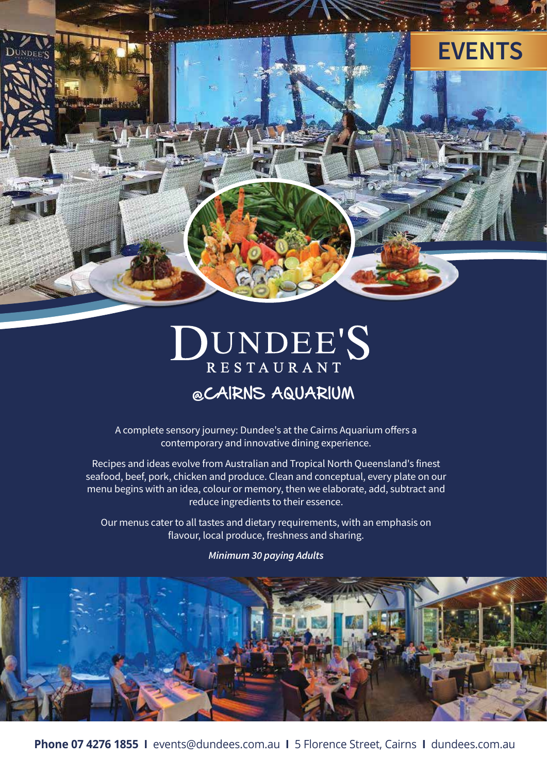

# DUNDEE'S @CAIRNS AQUARIUM

A complete sensory journey: Dundee's at the Cairns Aquarium offers a contemporary and innovative dining experience.

Recipes and ideas evolve from Australian and Tropical North Queensland's finest seafood, beef, pork, chicken and produce. Clean and conceptual, every plate on our menu begins with an idea, colour or memory, then we elaborate, add, subtract and reduce ingredients to their essence.

Our menus cater to all tastes and dietary requirements, with an emphasis on flavour, local produce, freshness and sharing.

*Minimum 30 paying Adults*



**Phone 07 4276 1855 I** events@dundees.com.au **I** 5 Florence Street, Cairns **I** dundees.com.au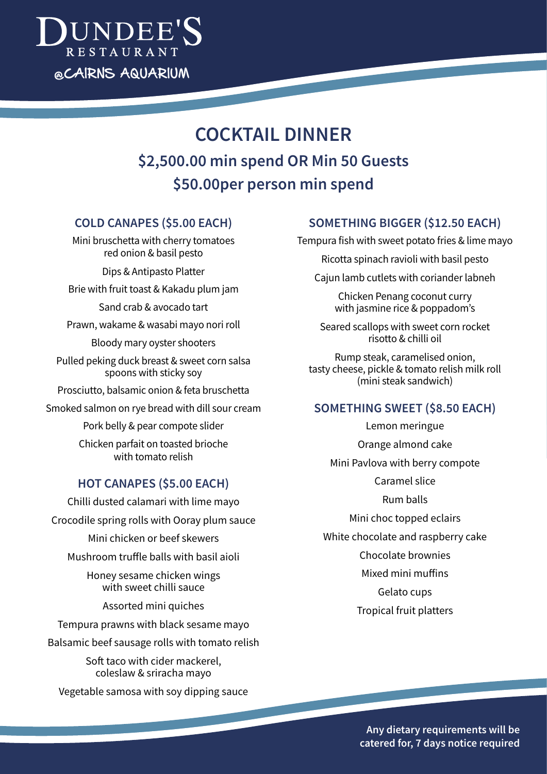

# **COCKTAIL DINNER \$2,500.00 min spend OR Min 50 Guests \$50.00per person min spend**

## **COLD CANAPES (\$5.00 EACH)**

Mini bruschetta with cherry tomatoes red onion & basil pesto

Dips & Antipasto Platter Brie with fruit toast & Kakadu plum jam

Sand crab & avocado tart

Prawn, wakame & wasabi mayo nori roll

Bloody mary oyster shooters

Pulled peking duck breast & sweet corn salsa spoons with sticky soy

Prosciutto, balsamic onion & feta bruschetta

Smoked salmon on rye bread with dill sour cream

Pork belly & pear compote slider

Chicken parfait on toasted brioche with tomato relish

# **HOT CANAPES (\$5.00 EACH)**

Chilli dusted calamari with lime mayo Crocodile spring rolls with Ooray plum sauce Mini chicken or beef skewers

Mushroom truffle balls with basil aioli

Honey sesame chicken wings with sweet chilli sauce

Assorted mini quiches

Tempura prawns with black sesame mayo Balsamic beef sausage rolls with tomato relish

Soft taco with cider mackerel, coleslaw & sriracha mayo

Vegetable samosa with soy dipping sauce

# **SOMETHING BIGGER (\$12.50 EACH)**

Tempura fish with sweet potato fries & lime mayo

Ricotta spinach ravioli with basil pesto

Cajun lamb cutlets with coriander labneh

Chicken Penang coconut curry with jasmine rice & poppadom's

Seared scallops with sweet corn rocket risotto & chilli oil

Rump steak, caramelised onion, tasty cheese, pickle & tomato relish milk roll (mini steak sandwich)

# **SOMETHING SWEET (\$8.50 EACH)**

Lemon meringue Orange almond cake Mini Pavlova with berry compote Caramel slice Rum balls Mini choc topped eclairs White chocolate and raspberry cake Chocolate brownies Mixed mini muffins Gelato cups Tropical fruit platters

> **Any dietary requirements will be catered for, 7 days notice required**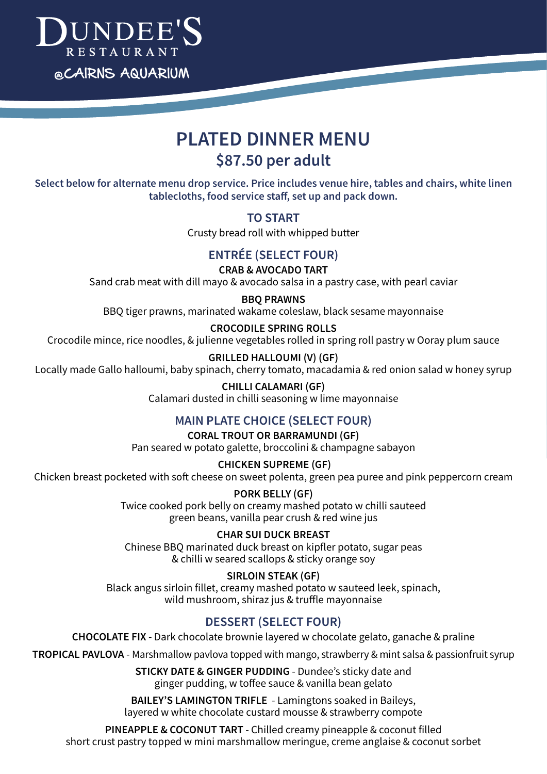

# **PLATED DINNER MENU \$87.50 per adult**

**Select below for alternate menu drop service. Price includes venue hire, tables and chairs, white linen tablecloths, food service sta!, set up and pack down.**

## **TO START**

Crusty bread roll with whipped butter

# **ENTRÉE (SELECT FOUR)**

#### **CRAB & AVOCADO TART**

Sand crab meat with dill mayo & avocado salsa in a pastry case, with pearl caviar

#### **BBQ PRAWNS**

BBQ tiger prawns, marinated wakame coleslaw, black sesame mayonnaise

#### **CROCODILE SPRING ROLLS**

Crocodile mince, rice noodles, & julienne vegetables rolled in spring roll pastry w Ooray plum sauce

#### **GRILLED HALLOUMI (V) (GF)**

Locally made Gallo halloumi, baby spinach, cherry tomato, macadamia & red onion salad w honey syrup

# **CHILLI CALAMARI (GF)**

Calamari dusted in chilli seasoning w lime mayonnaise

## **MAIN PLATE CHOICE (SELECT FOUR)**

#### **CORAL TROUT OR BARRAMUNDI (GF)**

Pan seared w potato galette, broccolini & champagne sabayon

#### **CHICKEN SUPREME (GF)**

Chicken breast pocketed with soft cheese on sweet polenta, green pea puree and pink peppercorn cream

**PORK BELLY (GF)** Twice cooked pork belly on creamy mashed potato w chilli sauteed green beans, vanilla pear crush & red wine jus

**CHAR SUI DUCK BREAST** Chinese BBQ marinated duck breast on kipfler potato, sugar peas & chilli w seared scallops & sticky orange soy

**SIRLOIN STEAK (GF)** Black angus sirloin fillet, creamy mashed potato w sauteed leek, spinach, wild mushroom, shiraz jus & truffle mayonnaise

# **DESSERT (SELECT FOUR)**

**CHOCOLATE FIX** - Dark chocolate brownie layered w chocolate gelato, ganache & praline

**TROPICAL PAVLOVA** - Marshmallow pavlova topped with mango, strawberry & mint salsa & passionfruit syrup

**STICKY DATE & GINGER PUDDING** - Dundee's sticky date and ginger pudding, w toffee sauce & vanilla bean gelato

**BAILEY'S LAMINGTON TRIFLE** - Lamingtons soaked in Baileys, layered w white chocolate custard mousse & strawberry compote

**PINEAPPLE & COCONUT TART** - Chilled creamy pineapple & coconut filled short crust pastry topped w mini marshmallow meringue, creme anglaise & coconut sorbet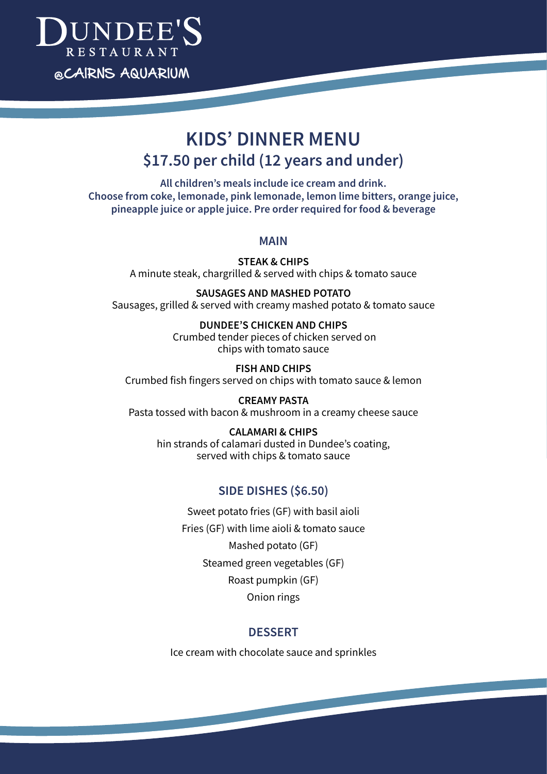

# **KIDS' DINNER MENU \$17.50 per child (12 years and under)**

**All children's meals include ice cream and drink. Choose from coke, lemonade, pink lemonade, lemon lime bitters, orange juice, pineapple juice or apple juice. Pre order required for food & beverage**

#### **MAIN**

**STEAK & CHIPS** A minute steak, chargrilled & served with chips & tomato sauce

**SAUSAGES AND MASHED POTATO** Sausages, grilled & served with creamy mashed potato & tomato sauce

> **DUNDEE'S CHICKEN AND CHIPS** Crumbed tender pieces of chicken served on chips with tomato sauce

**FISH AND CHIPS**  Crumbed fish fingers served on chips with tomato sauce & lemon

**CREAMY PASTA**  Pasta tossed with bacon & mushroom in a creamy cheese sauce

# **CALAMARI & CHIPS**

hin strands of calamari dusted in Dundee's coating, served with chips & tomato sauce

## **SIDE DISHES (\$6.50)**

Sweet potato fries (GF) with basil aioli Fries (GF) with lime aioli & tomato sauce Mashed potato (GF) Steamed green vegetables (GF) Roast pumpkin (GF)

Onion rings

#### **DESSERT**

Ice cream with chocolate sauce and sprinkles